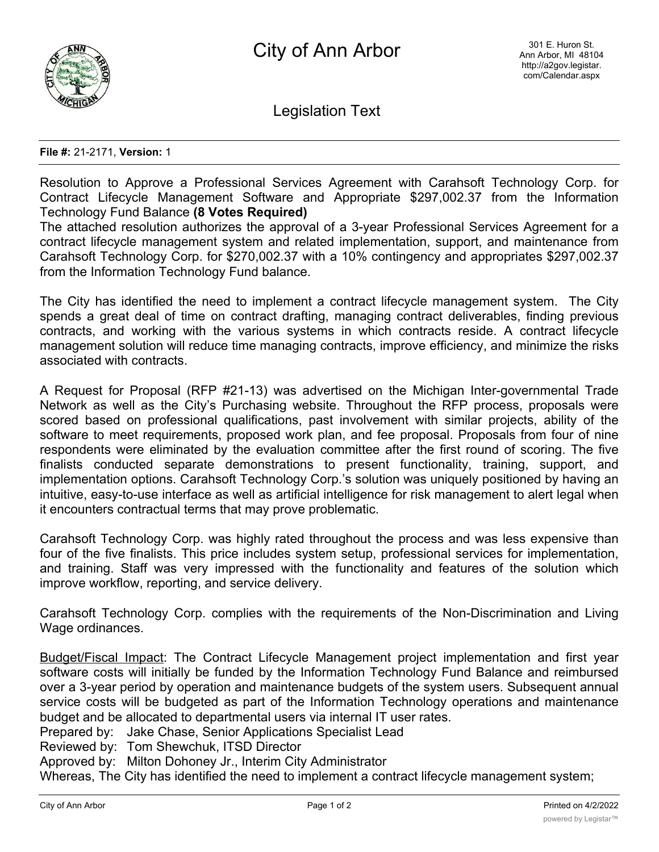

Legislation Text

## **File #:** 21-2171, **Version:** 1

Resolution to Approve a Professional Services Agreement with Carahsoft Technology Corp. for Contract Lifecycle Management Software and Appropriate \$297,002.37 from the Information Technology Fund Balance **(8 Votes Required)**

The attached resolution authorizes the approval of a 3-year Professional Services Agreement for a contract lifecycle management system and related implementation, support, and maintenance from Carahsoft Technology Corp. for \$270,002.37 with a 10% contingency and appropriates \$297,002.37 from the Information Technology Fund balance.

The City has identified the need to implement a contract lifecycle management system. The City spends a great deal of time on contract drafting, managing contract deliverables, finding previous contracts, and working with the various systems in which contracts reside. A contract lifecycle management solution will reduce time managing contracts, improve efficiency, and minimize the risks associated with contracts.

A Request for Proposal (RFP #21-13) was advertised on the Michigan Inter-governmental Trade Network as well as the City's Purchasing website. Throughout the RFP process, proposals were scored based on professional qualifications, past involvement with similar projects, ability of the software to meet requirements, proposed work plan, and fee proposal. Proposals from four of nine respondents were eliminated by the evaluation committee after the first round of scoring. The five finalists conducted separate demonstrations to present functionality, training, support, and implementation options. Carahsoft Technology Corp.'s solution was uniquely positioned by having an intuitive, easy-to-use interface as well as artificial intelligence for risk management to alert legal when it encounters contractual terms that may prove problematic.

Carahsoft Technology Corp. was highly rated throughout the process and was less expensive than four of the five finalists. This price includes system setup, professional services for implementation, and training. Staff was very impressed with the functionality and features of the solution which improve workflow, reporting, and service delivery.

Carahsoft Technology Corp. complies with the requirements of the Non-Discrimination and Living Wage ordinances.

Budget/Fiscal Impact: The Contract Lifecycle Management project implementation and first year software costs will initially be funded by the Information Technology Fund Balance and reimbursed over a 3-year period by operation and maintenance budgets of the system users. Subsequent annual service costs will be budgeted as part of the Information Technology operations and maintenance budget and be allocated to departmental users via internal IT user rates.

Prepared by: Jake Chase, Senior Applications Specialist Lead

Reviewed by: Tom Shewchuk, ITSD Director

Approved by: Milton Dohoney Jr., Interim City Administrator

Whereas, The City has identified the need to implement a contract lifecycle management system;